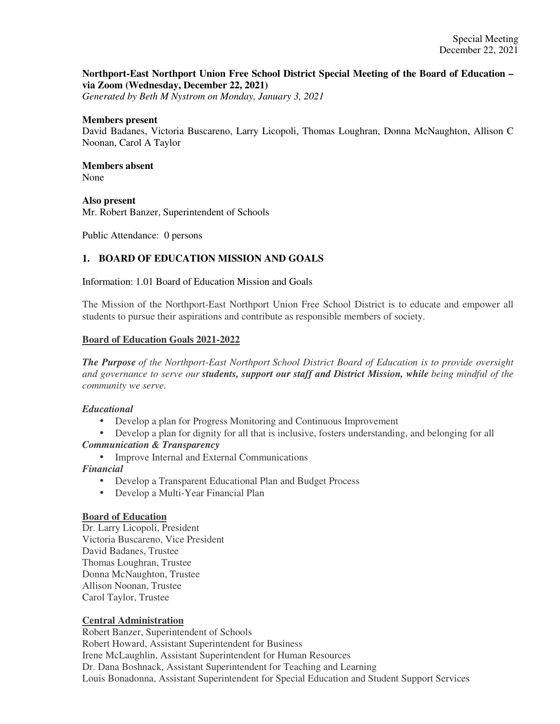### **Northport-East Northport Union Free School District Special Meeting of the Board of Education – via Zoom (Wednesday, December 22, 2021)**

*Generated by Beth M Nystrom on Monday, January 3, 2021*

#### **Members present**

David Badanes, Victoria Buscareno, Larry Licopoli, Thomas Loughran, Donna McNaughton, Allison C Noonan, Carol A Taylor

#### **Members absent**  None

**Also present** 

Mr. Robert Banzer, Superintendent of Schools

Public Attendance: 0 persons

# **1. BOARD OF EDUCATION MISSION AND GOALS**

Information: 1.01 Board of Education Mission and Goals

The Mission of the Northport-East Northport Union Free School District is to educate and empower all students to pursue their aspirations and contribute as responsible members of society.

#### **Board of Education Goals 2021-2022**

*The Purpose of the Northport-East Northport School District Board of Education is to provide oversight and governance to serve our students, support our staff and District Mission, while being mindful of the community we serve.*

### *Educational*

- Develop a plan for Progress Monitoring and Continuous Improvement
- Develop a plan for dignity for all that is inclusive, fosters understanding, and belonging for all *Communication & Transparency*
	- Improve Internal and External Communications

### *Financial*

- Develop a Transparent Educational Plan and Budget Process
- Develop a Multi-Year Financial Plan

#### **Board of Education**

Dr. Larry Licopoli, President Victoria Buscareno, Vice President David Badanes, Trustee Thomas Loughran, Trustee Donna McNaughton, Trustee Allison Noonan, Trustee Carol Taylor, Trustee

### **Central Administration**

Robert Banzer, Superintendent of Schools Robert Howard, Assistant Superintendent for Business Irene McLaughlin, Assistant Superintendent for Human Resources Dr. Dana Boshnack, Assistant Superintendent for Teaching and Learning Louis Bonadonna, Assistant Superintendent for Special Education and Student Support Services